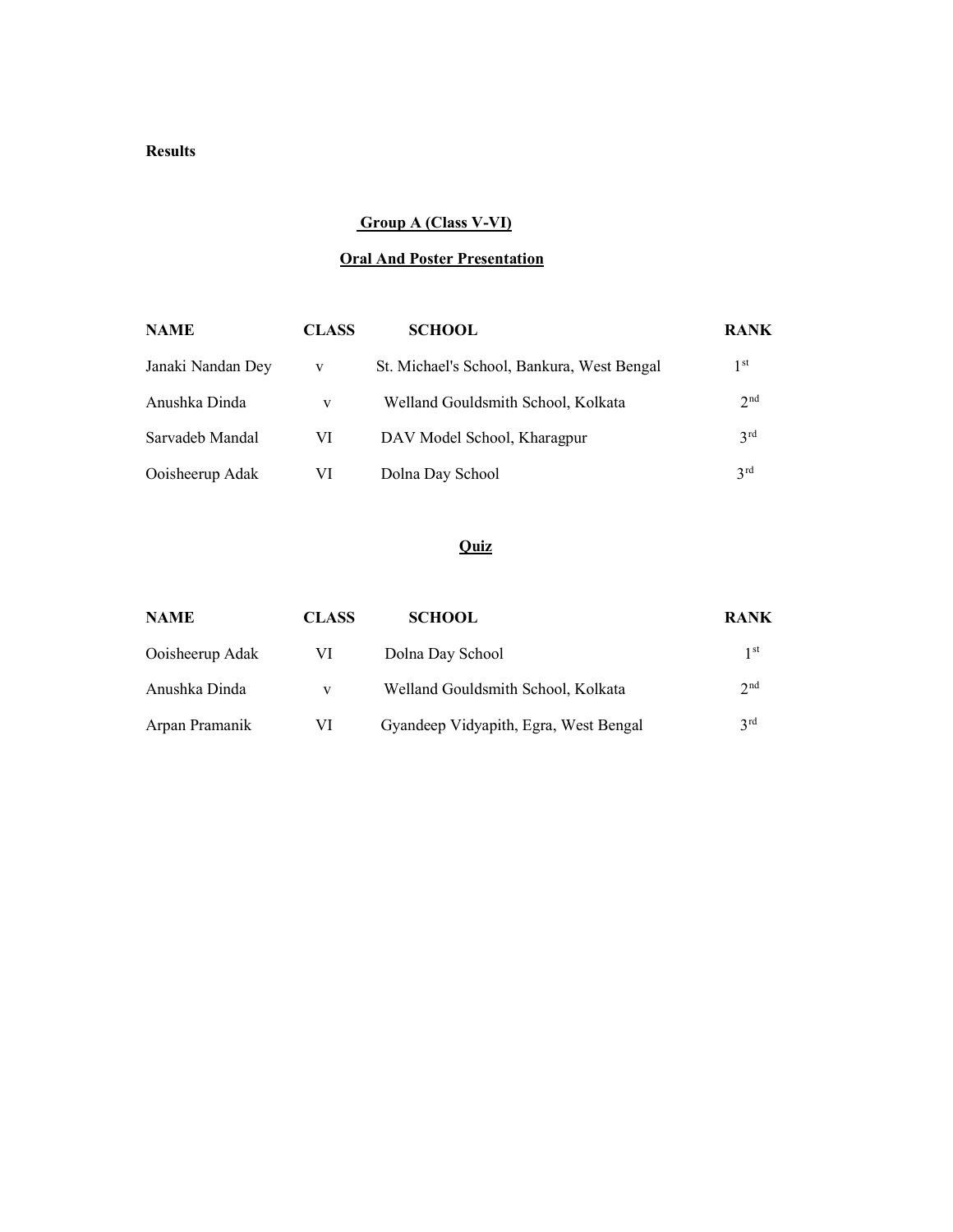### Results

### Group A (Class V-VI)

# Oral And Poster Presentation

| <b>NAME</b>       | <b>CLASS</b> | <b>SCHOOL</b>                              | <b>RANK</b>     |
|-------------------|--------------|--------------------------------------------|-----------------|
| Janaki Nandan Dey | V            | St. Michael's School, Bankura, West Bengal | 1 <sup>st</sup> |
| Anushka Dinda     | v            | Welland Gouldsmith School, Kolkata         | 2 <sup>nd</sup> |
| Sarvadeb Mandal   | VI           | DAV Model School, Kharagpur                | 3 <sup>rd</sup> |
| Ooisheerup Adak   | VI           | Dolna Day School                           | 2 <sub>rd</sub> |

| <b>NAME</b>     | <b>CLASS</b> | <b>SCHOOL</b>                         | <b>RANK</b>     |
|-----------------|--------------|---------------------------------------|-----------------|
| Ooisheerup Adak | VI           | Dolna Day School                      | 1 <sup>st</sup> |
| Anushka Dinda   | V            | Welland Gouldsmith School, Kolkata    | 2 <sub>nd</sub> |
| Arpan Pramanik  | VI           | Gyandeep Vidyapith, Egra, West Bengal | 2rd             |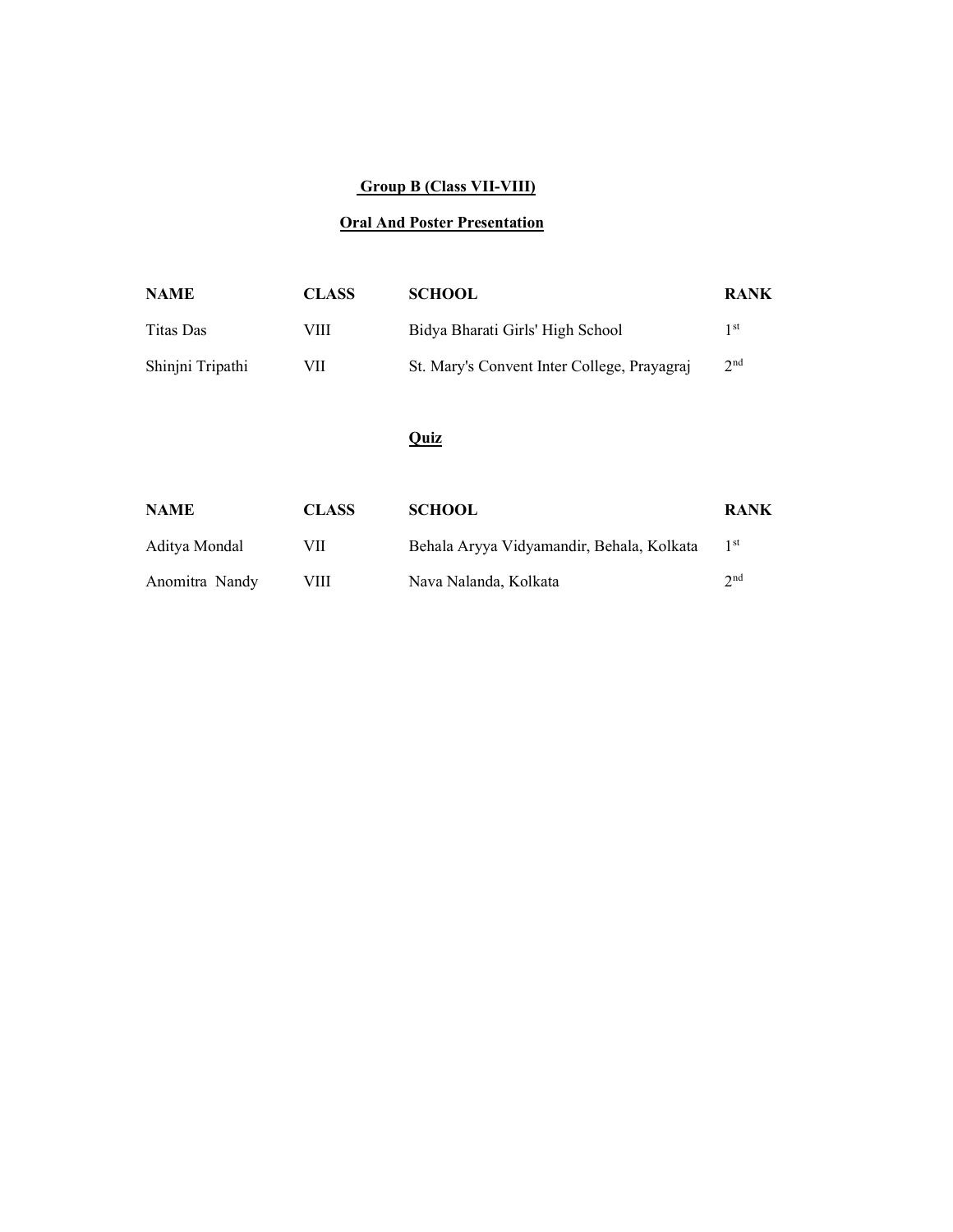#### Group B (Class VII-VIII)

# Oral And Poster Presentation

| <b>NAME</b>      | <b>CLASS</b> | <b>SCHOOL</b>                               | <b>RANK</b>     |
|------------------|--------------|---------------------------------------------|-----------------|
| Titas Das        | VIII         | Bidya Bharati Girls' High School            | 1 st            |
| Shinjni Tripathi | VH           | St. Mary's Convent Inter College, Prayagraj | 2 <sup>nd</sup> |

| <b>NAME</b>    | <b>CLASS</b> | <b>SCHOOL</b>                             | <b>RANK</b>     |
|----------------|--------------|-------------------------------------------|-----------------|
| Aditya Mondal  | VII          | Behala Aryya Vidyamandir, Behala, Kolkata | 1 <sup>st</sup> |
| Anomitra Nandy | VIII         | Nava Nalanda, Kolkata                     | $\gamma$ nd     |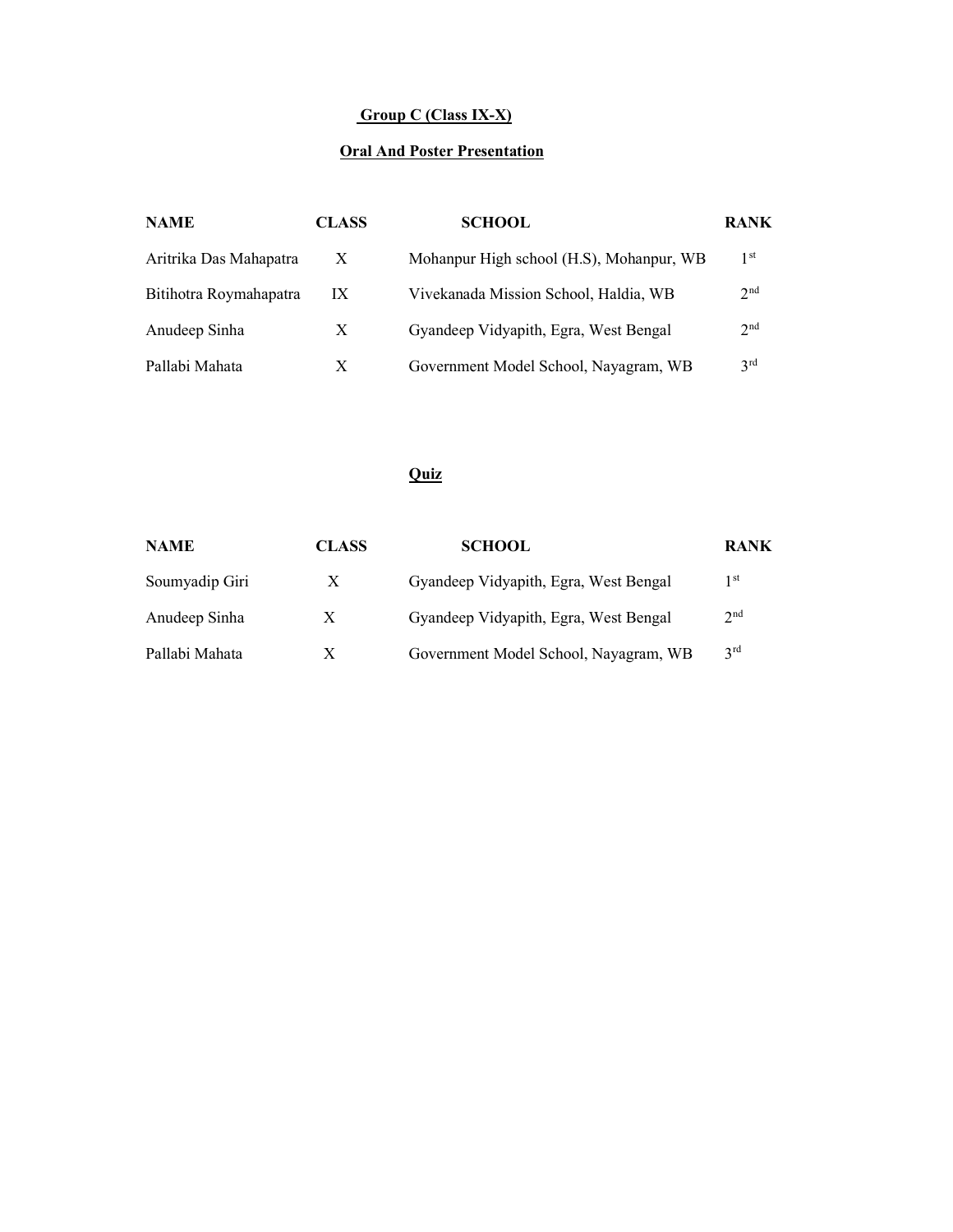# Group C (Class IX-X)

# **Oral And Poster Presentation**

| <b>NAME</b>            | <b>CLASS</b> | <b>SCHOOL</b>                            | <b>RANK</b>     |
|------------------------|--------------|------------------------------------------|-----------------|
| Aritrika Das Mahapatra | $\mathbf{X}$ | Mohanpur High school (H.S), Mohanpur, WB | 1 <sup>st</sup> |
| Bitihotra Roymahapatra | IX           | Vivekanada Mission School, Haldia, WB    | 2 <sup>nd</sup> |
| Anudeep Sinha          | X            | Gyandeep Vidyapith, Egra, West Bengal    | 2 <sup>nd</sup> |
| Pallabi Mahata         | X            | Government Model School, Nayagram, WB    | 3 <sup>rd</sup> |

| <b>NAME</b>    | <b>CLASS</b> | <b>SCHOOL</b>                         | <b>RANK</b>     |
|----------------|--------------|---------------------------------------|-----------------|
| Soumyadip Giri | X            | Gyandeep Vidyapith, Egra, West Bengal | 1 st            |
| Anudeep Sinha  | X            | Gyandeep Vidyapith, Egra, West Bengal | 2 <sup>nd</sup> |
| Pallabi Mahata | X            | Government Model School, Nayagram, WB | 3 <sup>rd</sup> |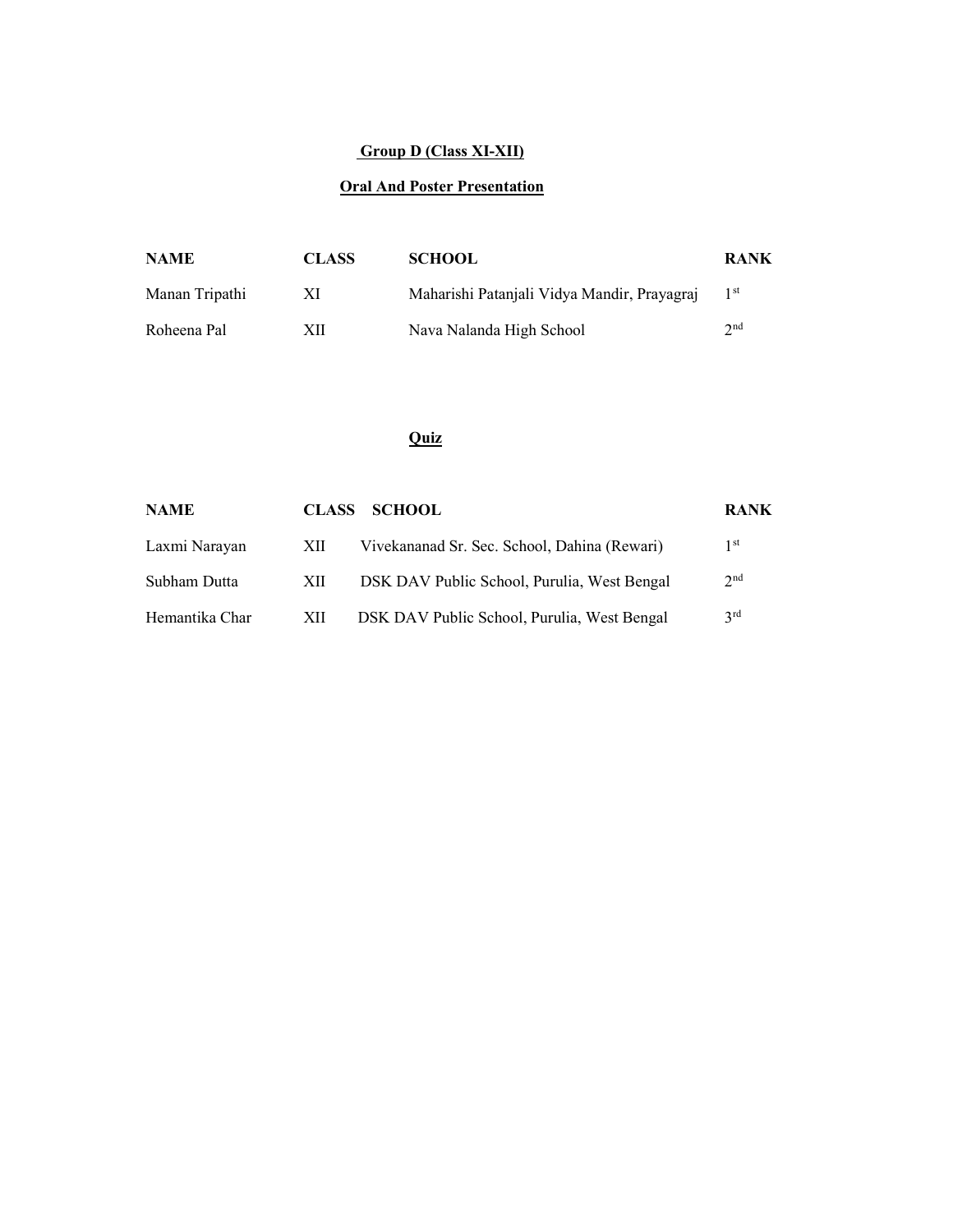# Group D (Class XI-XII)

#### Oral And Poster Presentation

| <b>NAME</b>    | <b>CLASS</b> | <b>SCHOOL</b>                               | <b>RANK</b>     |
|----------------|--------------|---------------------------------------------|-----------------|
| Manan Tripathi | ХI           | Maharishi Patanjali Vidya Mandir, Prayagraj | 1 <sup>st</sup> |
| Roheena Pal    | XII          | Nava Nalanda High School                    | 2nd             |

| <b>NAME</b>    |      | CLASS SCHOOL                                 | <b>RANK</b>     |
|----------------|------|----------------------------------------------|-----------------|
| Laxmi Narayan  | -XII | Vivekananad Sr. Sec. School, Dahina (Rewari) | 1 st            |
| Subham Dutta   | XII  | DSK DAV Public School, Purulia, West Bengal  | 2 <sup>nd</sup> |
| Hemantika Char | XII  | DSK DAV Public School, Purulia, West Bengal  | 2rd             |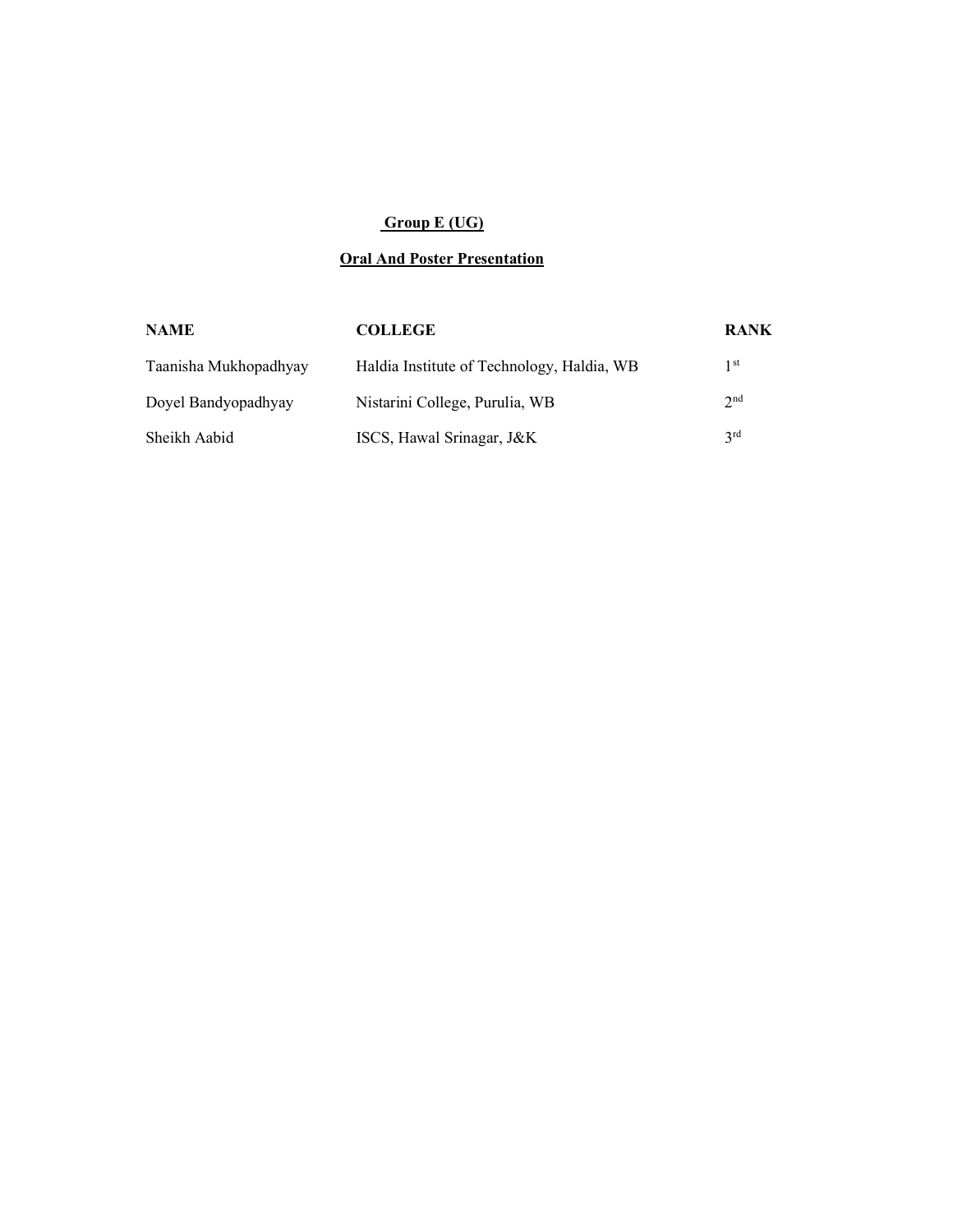# Group E (UG)

## **Oral And Poster Presentation**

| <b>NAME</b>           | <b>COLLEGE</b>                             | <b>RANK</b>     |
|-----------------------|--------------------------------------------|-----------------|
| Taanisha Mukhopadhyay | Haldia Institute of Technology, Haldia, WB | 1 st            |
| Doyel Bandyopadhyay   | Nistarini College, Purulia, WB             | 2 <sub>nd</sub> |
| Sheikh Aabid          | ISCS, Hawal Srinagar, J&K                  | 2rd             |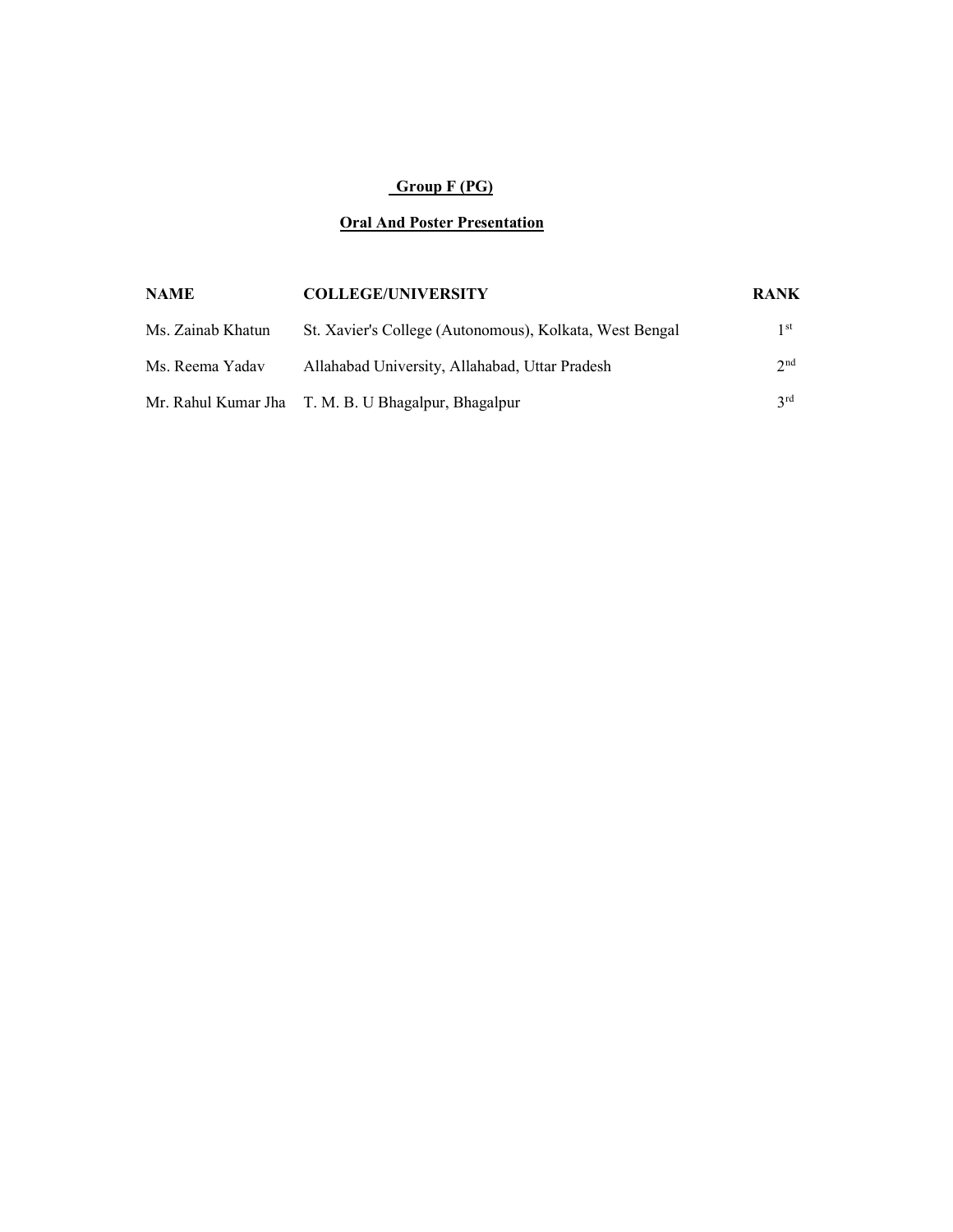# Group F (PG)

#### Oral And Poster Presentation

| <b>NAME</b>       | <b>COLLEGE/UNIVERSITY</b>                               | <b>RANK</b>     |
|-------------------|---------------------------------------------------------|-----------------|
| Ms. Zainab Khatun | St. Xavier's College (Autonomous), Kolkata, West Bengal | 1 <sup>st</sup> |
| Ms. Reema Yadav   | Allahabad University, Allahabad, Uttar Pradesh          | 2 <sup>nd</sup> |
|                   | Mr. Rahul Kumar Jha T. M. B. U Bhagalpur, Bhagalpur     | 2rd             |